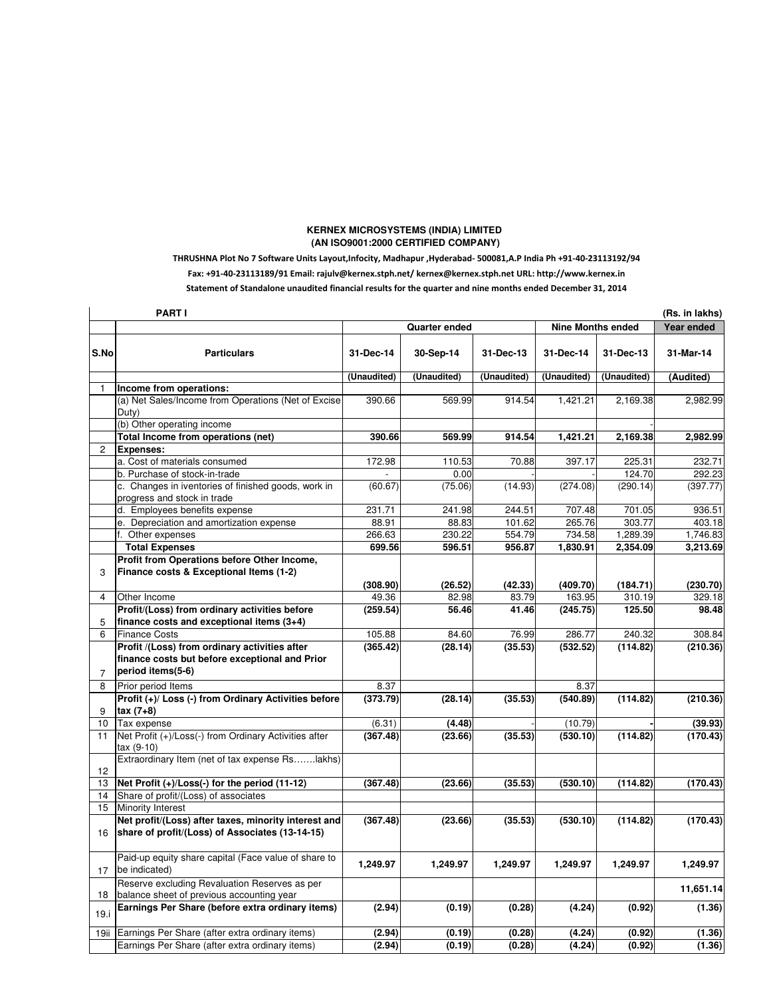## **KERNEX MICROSYSTEMS (INDIA) LIMITED (AN ISO9001:2000 CERTIFIED COMPANY)**

## THRUSHNA Plot No 7 Software Units Layout,Infocity, Madhapur ,Hyderabad- 500081,A.P India Ph +91-40-23113192/94 Fax: +91-40-23113189/91 Email: rajulv@kernex.stph.net/ kernex@kernex.stph.net URL: http://www.kernex.in Statement of Standalone unaudited financial results for the quarter and nine months ended December 31, 2014

| PART I<br>(Rs. in lakhs) |                                                                                                                      |             |                      |             |                          |             |           |  |  |  |  |
|--------------------------|----------------------------------------------------------------------------------------------------------------------|-------------|----------------------|-------------|--------------------------|-------------|-----------|--|--|--|--|
|                          |                                                                                                                      |             | <b>Quarter ended</b> |             | <b>Nine Months ended</b> | Year ended  |           |  |  |  |  |
| S.No                     | <b>Particulars</b>                                                                                                   | 31-Dec-14   | 30-Sep-14            | 31-Dec-13   | 31-Dec-14                | 31-Dec-13   | 31-Mar-14 |  |  |  |  |
|                          |                                                                                                                      | (Unaudited) | (Unaudited)          | (Unaudited) | (Unaudited)              | (Unaudited) | (Audited) |  |  |  |  |
| 1                        | Income from operations:                                                                                              |             |                      |             |                          |             |           |  |  |  |  |
|                          | (a) Net Sales/Income from Operations (Net of Excise<br>Duty)                                                         | 390.66      | 569.99               | 914.54      | 1,421.21                 | 2,169.38    | 2,982.99  |  |  |  |  |
|                          | (b) Other operating income                                                                                           |             |                      |             |                          |             |           |  |  |  |  |
|                          | Total Income from operations (net)                                                                                   | 390.66      | 569.99               | 914.54      | 1,421.21                 | 2,169.38    | 2,982.99  |  |  |  |  |
| $\mathbf{2}$             | <b>Expenses:</b>                                                                                                     |             |                      |             |                          |             |           |  |  |  |  |
|                          | a. Cost of materials consumed                                                                                        | 172.98      | 110.53               | 70.88       | 397.17                   | 225.31      | 232.71    |  |  |  |  |
|                          | b. Purchase of stock-in-trade                                                                                        |             | 0.00                 |             |                          | 124.70      | 292.23    |  |  |  |  |
|                          | c. Changes in iventories of finished goods, work in<br>progress and stock in trade                                   | (60.67)     | (75.06)              | (14.93)     | (274.08)                 | (290.14)    | (397.77)  |  |  |  |  |
|                          | d. Employees benefits expense                                                                                        | 231.71      | 241.98               | 244.51      | 707.48                   | 701.05      | 936.51    |  |  |  |  |
|                          | e. Depreciation and amortization expense                                                                             | 88.91       | 88.83                | 101.62      | 265.76                   | 303.77      | 403.18    |  |  |  |  |
|                          | f. Other expenses                                                                                                    | 266.63      | 230.22               | 554.79      | 734.58                   | 1,289.39    | 1,746.83  |  |  |  |  |
|                          | <b>Total Expenses</b>                                                                                                | 699.56      | 596.51               | 956.87      | 1,830.91                 | 2,354.09    | 3,213.69  |  |  |  |  |
|                          | Profit from Operations before Other Income,                                                                          |             |                      |             |                          |             |           |  |  |  |  |
| 3                        | Finance costs & Exceptional Items (1-2)                                                                              |             |                      |             |                          |             |           |  |  |  |  |
|                          |                                                                                                                      | (308.90)    | (26.52)              | (42.33)     | (409.70)                 | (184.71)    | (230.70)  |  |  |  |  |
| 4                        | Other Income                                                                                                         | 49.36       | 82.98                | 83.79       | 163.95                   | 310.19      | 329.18    |  |  |  |  |
|                          | Profit/(Loss) from ordinary activities before                                                                        | (259.54)    | 56.46                | 41.46       | (245.75)                 | 125.50      | 98.48     |  |  |  |  |
| 5                        | finance costs and exceptional items (3+4)                                                                            |             |                      |             |                          |             |           |  |  |  |  |
| 6                        | <b>Finance Costs</b>                                                                                                 | 105.88      | 84.60                | 76.99       | 286.77                   | 240.32      | 308.84    |  |  |  |  |
| $\overline{7}$           | Profit /(Loss) from ordinary activities after<br>finance costs but before exceptional and Prior<br>period items(5-6) | (365.42)    | (28.14)              | (35.53)     | (532.52)                 | (114.82)    | (210.36)  |  |  |  |  |
| 8                        | Prior period Items                                                                                                   | 8.37        |                      |             | 8.37                     |             |           |  |  |  |  |
| 9                        | Profit (+)/ Loss (-) from Ordinary Activities before<br>$\tan(7+8)$                                                  | (373.79)    | (28.14)              | (35.53)     | (540.89)                 | (114.82)    | (210.36)  |  |  |  |  |
| 10                       | Tax expense                                                                                                          | (6.31)      | (4.48)               |             | (10.79)                  |             | (39.93)   |  |  |  |  |
| 11                       | Net Profit (+)/Loss(-) from Ordinary Activities after<br>tax (9-10)                                                  | (367.48)    | (23.66)              | (35.53)     | (530.10)                 | (114.82)    | (170.43)  |  |  |  |  |
| 12                       | Extraordinary Item (net of tax expense Rslakhs)                                                                      |             |                      |             |                          |             |           |  |  |  |  |
| 13                       | Net Profit $(+)/$ Loss $(-)$ for the period $(11-12)$                                                                | (367.48)    | (23.66)              | (35.53)     | (530.10)                 | (114.82)    | (170.43)  |  |  |  |  |
| 14                       | Share of profit/(Loss) of associates                                                                                 |             |                      |             |                          |             |           |  |  |  |  |
| 15                       | Minority Interest                                                                                                    |             |                      |             |                          |             |           |  |  |  |  |
| 16                       | Net profit/(Loss) after taxes, minority interest and<br>share of profit/(Loss) of Associates (13-14-15)              | (367.48)    | (23.66)              | (35.53)     | (530.10)                 | (114.82)    | (170.43)  |  |  |  |  |
| 17                       | Paid-up equity share capital (Face value of share to<br>be indicated)                                                | 1,249.97    | 1,249.97             | 1,249.97    | 1,249.97                 | 1,249.97    | 1,249.97  |  |  |  |  |
| 18                       | Reserve excluding Revaluation Reserves as per<br>balance sheet of previous accounting year                           |             |                      |             |                          |             | 11,651.14 |  |  |  |  |
| 19.i                     | Earnings Per Share (before extra ordinary items)                                                                     | (2.94)      | (0.19)               | (0.28)      | (4.24)                   | (0.92)      | (1.36)    |  |  |  |  |
| 19ii                     | Earnings Per Share (after extra ordinary items)                                                                      | (2.94)      | (0.19)               | (0.28)      | (4.24)                   | (0.92)      | (1.36)    |  |  |  |  |
|                          | Earnings Per Share (after extra ordinary items)                                                                      | (2.94)      | (0.19)               | (0.28)      | (4.24)                   | (0.92)      | (1.36)    |  |  |  |  |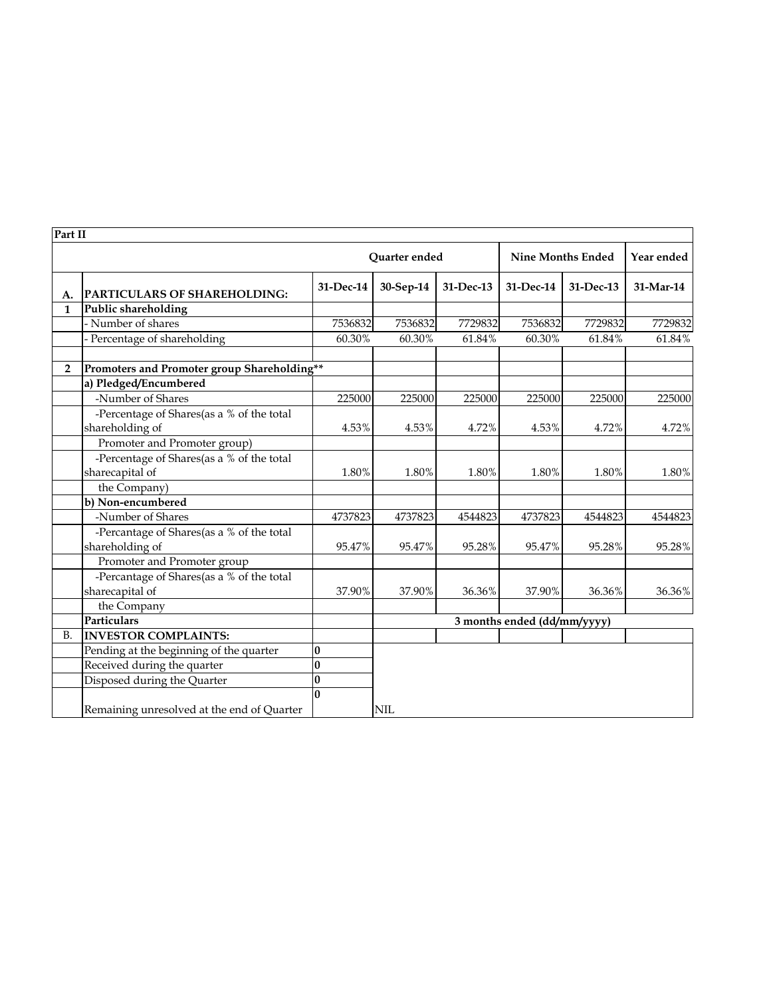| Part II      |                                               |                      |            |           |                             |           |            |  |
|--------------|-----------------------------------------------|----------------------|------------|-----------|-----------------------------|-----------|------------|--|
|              |                                               | <b>Ouarter</b> ended |            |           | <b>Nine Months Ended</b>    |           | Year ended |  |
| А.           | PARTICULARS OF SHAREHOLDING:                  | 31-Dec-14            | 30-Sep-14  | 31-Dec-13 | 31-Dec-14                   | 31-Dec-13 | 31-Mar-14  |  |
| $\mathbf{1}$ | Public shareholding                           |                      |            |           |                             |           |            |  |
|              | - Number of shares                            | 7536832              | 7536832    | 7729832   | 7536832                     | 7729832   | 7729832    |  |
|              | - Percentage of shareholding                  | 60.30%               | 60.30%     | 61.84%    | 60.30%                      | 61.84%    | 61.84%     |  |
| $\mathbf{2}$ | Promoters and Promoter group Shareholding**   |                      |            |           |                             |           |            |  |
|              | a) Pledged/Encumbered                         |                      |            |           |                             |           |            |  |
|              | -Number of Shares                             | 225000               | 225000     | 225000    | 225000                      | 225000    | 225000     |  |
|              | -Percentage of Shares<br>(as a % of the total |                      |            |           |                             |           |            |  |
|              | shareholding of                               | 4.53%                | 4.53%      | 4.72%     | 4.53%                       | 4.72%     | 4.72%      |  |
|              | Promoter and Promoter group)                  |                      |            |           |                             |           |            |  |
|              | -Percentage of Shares(as a % of the total     |                      |            |           |                             |           |            |  |
|              | sharecapital of                               | 1.80%                | 1.80%      | 1.80%     | 1.80%                       | 1.80%     | 1.80%      |  |
|              | the Company)                                  |                      |            |           |                             |           |            |  |
|              | b) Non-encumbered                             |                      |            |           |                             |           |            |  |
|              | -Number of Shares                             | 4737823              | 4737823    | 4544823   | 4737823                     | 4544823   | 4544823    |  |
|              | -Percantage of Shares(as a % of the total     |                      |            |           |                             |           |            |  |
|              | shareholding of                               | 95.47%               | 95.47%     | 95.28%    | 95.47%                      | 95.28%    | 95.28%     |  |
|              | Promoter and Promoter group                   |                      |            |           |                             |           |            |  |
|              | -Percantage of Shares(as a % of the total     |                      |            |           |                             |           |            |  |
|              | sharecapital of                               | 37.90%               | 37.90%     | 36.36%    | 37.90%                      | 36.36%    | 36.36%     |  |
|              | the Company                                   |                      |            |           |                             |           |            |  |
|              | <b>Particulars</b>                            |                      |            |           | 3 months ended (dd/mm/yyyy) |           |            |  |
| <b>B.</b>    | <b>INVESTOR COMPLAINTS:</b>                   |                      |            |           |                             |           |            |  |
|              | Pending at the beginning of the quarter       | $\bf{0}$             |            |           |                             |           |            |  |
|              | Received during the quarter                   | $\bf{0}$             |            |           |                             |           |            |  |
|              | Disposed during the Quarter                   | $\bf{0}$             |            |           |                             |           |            |  |
|              |                                               | $\bf{0}$             |            |           |                             |           |            |  |
|              | Remaining unresolved at the end of Quarter    |                      | <b>NIL</b> |           |                             |           |            |  |